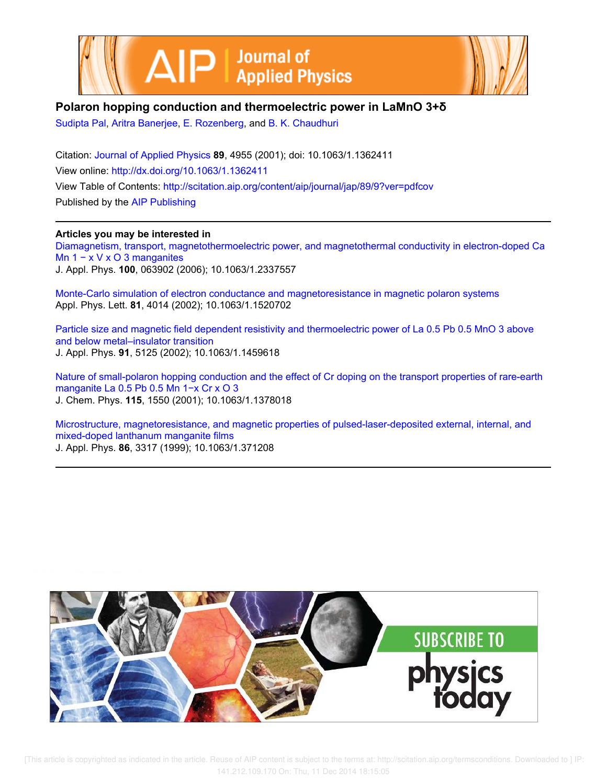



# **Polaron hopping conduction and thermoelectric power in LaMnO 3+δ**

Sudipta Pal, Aritra Banerjee, E. Rozenberg, and B. K. Chaudhuri

Citation: Journal of Applied Physics **89**, 4955 (2001); doi: 10.1063/1.1362411 View online: http://dx.doi.org/10.1063/1.1362411 View Table of Contents: http://scitation.aip.org/content/aip/journal/jap/89/9?ver=pdfcov Published by the AIP Publishing

## **Articles you may be interested in**

Diamagnetism, transport, magnetothermoelectric power, and magnetothermal conductivity in electron-doped Ca Mn 1 − x V x O 3 manganites J. Appl. Phys. **100**, 063902 (2006); 10.1063/1.2337557

Monte-Carlo simulation of electron conductance and magnetoresistance in magnetic polaron systems Appl. Phys. Lett. **81**, 4014 (2002); 10.1063/1.1520702

Particle size and magnetic field dependent resistivity and thermoelectric power of La 0.5 Pb 0.5 MnO 3 above and below metal–insulator transition J. Appl. Phys. **91**, 5125 (2002); 10.1063/1.1459618

Nature of small-polaron hopping conduction and the effect of Cr doping on the transport properties of rare-earth manganite La 0.5 Pb 0.5 Mn 1−x Cr x O 3 J. Chem. Phys. **115**, 1550 (2001); 10.1063/1.1378018

Microstructure, magnetoresistance, and magnetic properties of pulsed-laser-deposited external, internal, and mixed-doped lanthanum manganite films J. Appl. Phys. **86**, 3317 (1999); 10.1063/1.371208

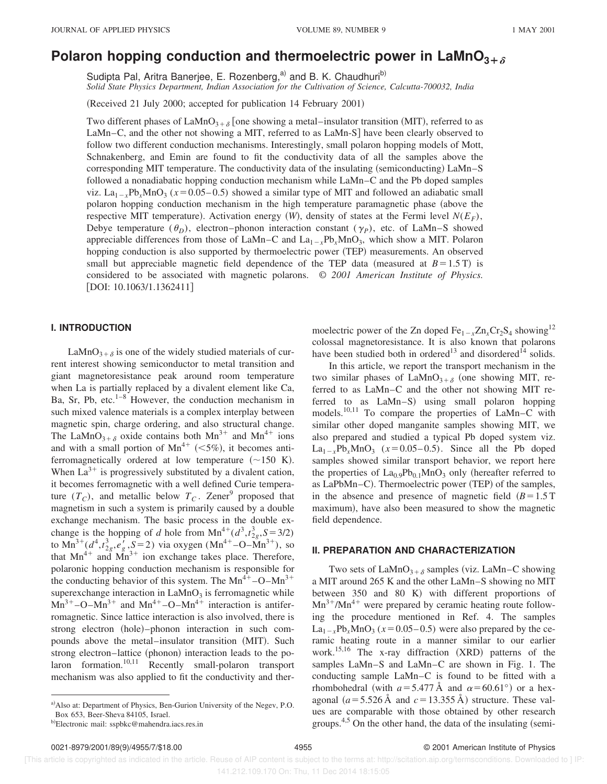# **Polaron hopping conduction and thermoelectric power in LaMnO<sub>3+** $\delta$ **</sub>**

Sudipta Pal, Aritra Banerjee, E. Rozenberg,<sup>a)</sup> and B. K. Chaudhuri<sup>b)</sup>

*Solid State Physics Department, Indian Association for the Cultivation of Science, Calcutta-700032, India*

(Received 21 July 2000; accepted for publication 14 February 2001)

Two different phases of LaMnO<sub>3+ $\delta$ </sub> [one showing a metal–insulator transition (MIT), referred to as LaMn–C, and the other not showing a MIT, referred to as LaMn-S] have been clearly observed to follow two different conduction mechanisms. Interestingly, small polaron hopping models of Mott, Schnakenberg, and Emin are found to fit the conductivity data of all the samples above the corresponding MIT temperature. The conductivity data of the insulating (semiconducting)  $\text{LaMn-S}$ followed a nonadiabatic hopping conduction mechanism while LaMn–C and the Pb doped samples viz.  $La_{1-x}Pb_xMnO_3$  ( $x=0.05-0.5$ ) showed a similar type of MIT and followed an adiabatic small polaron hopping conduction mechanism in the high temperature paramagnetic phase (above the respective MIT temperature). Activation energy  $(W)$ , density of states at the Fermi level  $N(E_F)$ , Debye temperature  $(\theta_D)$ , electron–phonon interaction constant  $(\gamma_P)$ , etc. of LaMn–S showed appreciable differences from those of LaMn–C and  $La_{1-x}Pb_xMnO_3$ , which show a MIT. Polaron hopping conduction is also supported by thermoelectric power (TEP) measurements. An observed small but appreciable magnetic field dependence of the TEP data (measured at  $B=1.5$  T) is considered to be associated with magnetic polarons. © *2001 American Institute of Physics.*  $[DOI: 10.1063/1.1362411]$ 

## **I. INTRODUCTION**

LaMnO<sub>3+ $\delta$ </sub> is one of the widely studied materials of current interest showing semiconductor to metal transition and giant magnetoresistance peak around room temperature when La is partially replaced by a divalent element like Ca, Ba, Sr, Pb, etc. $1-8$  However, the conduction mechanism in such mixed valence materials is a complex interplay between magnetic spin, charge ordering, and also structural change. The LaMnO<sub>3+ $\delta$ </sub> oxide contains both Mn<sup>3+</sup> and Mn<sup>4+</sup> ions and with a small portion of  $Mn^{4+}$  (<5%), it becomes antiferromagnetically ordered at low temperature  $({\sim}150 \text{ K})$ . When  $La^{3+}$  is progressively substituted by a divalent cation, it becomes ferromagnetic with a well defined Curie temperature  $(T_C)$ , and metallic below  $T_C$ . Zener<sup>9</sup> proposed that magnetism in such a system is primarily caused by a double exchange mechanism. The basic process in the double exchange is the hopping of *d* hole from  $Mn^{4+}(d^3, t^3, S = 3/2)$ to  $\text{Mn}^{3+}(d^4, t^3_{2g}, e'_g, S=2)$  via oxygen  $(\text{Mn}^{4+}-\text{O}-\text{Mn}^{3+})$ , so that  $Mn^{4+}$  and  $Mn^{3+}$  ion exchange takes place. Therefore, polaronic hopping conduction mechanism is responsible for the conducting behavior of this system. The  $Mn^{4+}$ –O– $Mn^{3+}$ superexchange interaction in  $\text{LaMnO}_3$  is ferromagnetic while  $Mn^{3+}$ –O–Mn<sup>3+</sup> and Mn<sup>4+</sup>–O–Mn<sup>4+</sup> interaction is antiferromagnetic. Since lattice interaction is also involved, there is strong electron (hole)–phonon interaction in such compounds above the metal–insulator transition (MIT). Such strong electron–lattice (phonon) interaction leads to the po $laron$  formation.<sup>10,11</sup> Recently small-polaron transport mechanism was also applied to fit the conductivity and ther-

moelectric power of the Zn doped  $Fe_{1-x}Zn_xCr_2S_4$  showing<sup>12</sup> colossal magnetoresistance. It is also known that polarons have been studied both in ordered<sup>13</sup> and disordered<sup>14</sup> solids.

In this article, we report the transport mechanism in the two similar phases of  $\text{LaMnO}_{3+\delta}$  (one showing MIT, referred to as LaMn–C and the other not showing MIT referred to as LaMn-S) using small polaron hopping models.10,11 To compare the properties of LaMn–C with similar other doped manganite samples showing MIT, we also prepared and studied a typical Pb doped system viz.  $La_{1-x}Pb_xMnO_3$  ( $x=0.05-0.5$ ). Since all the Pb doped samples showed similar transport behavior, we report here the properties of  $La<sub>0.9</sub>Pb<sub>0.1</sub>MnO<sub>3</sub>$  only (hereafter referred to as  $LaPbMn-C$ ). Thermoelectric power (TEP) of the samples, in the absence and presence of magnetic field  $(B=1.5$  T maximum), have also been measured to show the magnetic field dependence.

#### **II. PREPARATION AND CHARACTERIZATION**

Two sets of  $\text{LaMnO}_{3+\delta}$  samples (viz. LaMn–C showing a MIT around 265 K and the other LaMn–S showing no MIT between  $350$  and  $80$  K) with different proportions of  $Mn^{3+}/Mn^{4+}$  were prepared by ceramic heating route following the procedure mentioned in Ref. 4. The samples  $\text{La}_{1-x} \text{Pb}_x \text{MnO}_3$  ( $x=0.05-0.5$ ) were also prepared by the ceramic heating route in a manner similar to our earlier work.<sup>15,16</sup> The x-ray diffraction (XRD) patterns of the samples LaMn–S and LaMn–C are shown in Fig. 1. The conducting sample LaMn–C is found to be fitted with a rhombohedral (with  $a=5.477 \text{ Å}$  and  $\alpha=60.61^{\circ}$ ) or a hexagonal  $(a=5.526 \text{ Å}$  and  $c=13.355 \text{ Å}$ ) structure. These values are comparable with those obtained by other research groups. $4,5$  On the other hand, the data of the insulating (semi-

 [This article is copyrighted as indicated in the article. Reuse of AIP content is subject to the terms at: http://scitation.aip.org/termsconditions. Downloaded to ] IP: 141.212.109.170 On: Thu, 11 Dec 2014 18:15:05

a)Also at: Department of Physics, Ben-Gurion University of the Negev, P.O. Box 653, Beer-Sheva 84105, Israel.

b)Electronic mail: sspbkc@mahendra.iacs.res.in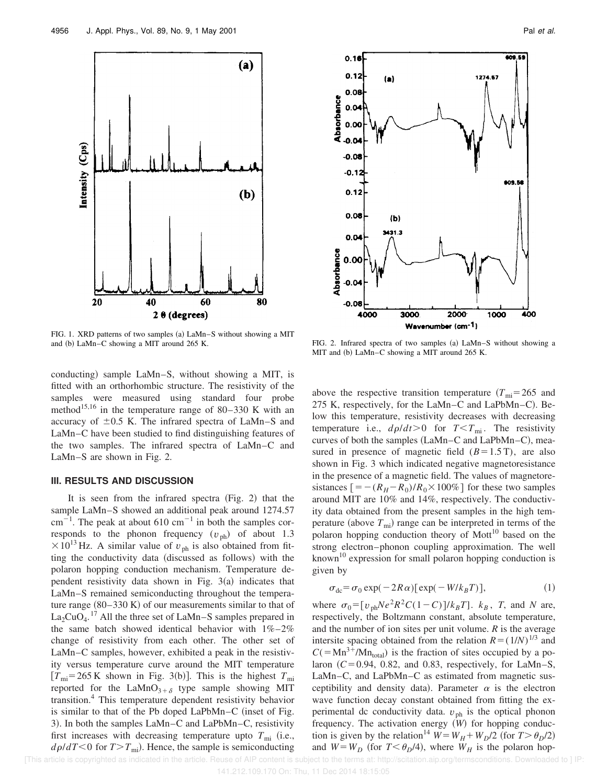

FIG. 1. XRD patterns of two samples (a)  $\text{LaMn-S}$  without showing a MIT and (b) LaMn–C showing a MIT around 265 K. FIG. 2. Infrared spectra of two samples (a) LaMn–S without showing a

conducting) sample LaMn–S, without showing a MIT, is fitted with an orthorhombic structure. The resistivity of the samples were measured using standard four probe method<sup>15,16</sup> in the temperature range of 80–330 K with an accuracy of  $\pm 0.5$  K. The infrared spectra of LaMn–S and LaMn–C have been studied to find distinguishing features of the two samples. The infrared spectra of LaMn–C and LaMn–S are shown in Fig. 2.

#### **III. RESULTS AND DISCUSSION**

It is seen from the infrared spectra  $(Fig. 2)$  that the sample LaMn–S showed an additional peak around 1274.57 cm<sup>-1</sup>. The peak at about 610 cm<sup>-1</sup> in both the samples corresponds to the phonon frequency  $(v_{ph})$  of about 1.3  $\times 10^{13}$  Hz. A similar value of  $v_{ph}$  is also obtained from fitting the conductivity data (discussed as follows) with the polaron hopping conduction mechanism. Temperature dependent resistivity data shown in Fig.  $3(a)$  indicates that LaMn–S remained semiconducting throughout the temperature range  $(80-330 \text{ K})$  of our measurements similar to that of  $\text{La}_2\text{CuO}_4$ .<sup>17</sup> All the three set of LaMn–S samples prepared in the same batch showed identical behavior with  $1\% - 2\%$ change of resistivity from each other. The other set of LaMn–C samples, however, exhibited a peak in the resistivity versus temperature curve around the MIT temperature  $[T<sub>mi</sub>=265$  K shown in Fig. 3(b)]. This is the highest  $T<sub>mi</sub>$ reported for the LaMnO<sub>3+ $\delta$ </sub> type sample showing MIT transition.<sup>4</sup> This temperature dependent resistivity behavior is similar to that of the Pb doped LaPbMn–C (inset of Fig. 3). In both the samples LaMn–C and LaPbMn–C, resistivity first increases with decreasing temperature upto  $T_{\text{mi}}$  (i.e.,  $d\rho/dT$ <0 for  $T>T_{\text{mi}}$ ). Hence, the sample is semiconducting



MIT and (b) LaMn–C showing a MIT around 265 K.

above the respective transition temperature  $(T_{\text{mi}}=265 \text{ and }$ 275 K, respectively, for the LaMn–C and LaPbMn–C). Below this temperature, resistivity decreases with decreasing temperature i.e.,  $d\rho/dt > 0$  for  $T < T_{\text{mi}}$ . The resistivity curves of both the samples  $(LaMn-C)$  and  $LaPbMn-C$ , measured in presence of magnetic field  $(B=1.5 \text{ T})$ , are also shown in Fig. 3 which indicated negative magnetoresistance in the presence of a magnetic field. The values of magnetoresistances  $[=-(R<sub>H</sub>-R<sub>0</sub>)/R<sub>0</sub> \times 100\%]$  for these two samples around MIT are 10% and 14%, respectively. The conductivity data obtained from the present samples in the high temperature (above  $T_{\text{mi}}$ ) range can be interpreted in terms of the polaron hopping conduction theory of  $Mott<sup>10</sup>$  based on the strong electron–phonon coupling approximation. The well known<sup>10</sup> expression for small polaron hopping conduction is given by

$$
\sigma_{dc} = \sigma_0 \exp(-2R\alpha) [\exp(-W/k_BT)], \qquad (1)
$$

where  $\sigma_0 = \left[ v_{ph}Ne^2R^2C(1-C) \right] / k_BT$ .  $k_B$ , *T*, and *N* are, respectively, the Boltzmann constant, absolute temperature, and the number of ion sites per unit volume. *R* is the average intersite spacing obtained from the relation  $R = (1/N)^{1/3}$  and  $C(=Mn^{3+}/Mn_{\text{total}})$  is the fraction of sites occupied by a polaron  $(C=0.94, 0.82,$  and 0.83, respectively, for LaMn–S, LaMn–C, and LaPbMn–C as estimated from magnetic susceptibility and density data). Parameter  $\alpha$  is the electron wave function decay constant obtained from fitting the experimental dc conductivity data.  $v_{\text{ph}}$  is the optical phonon frequency. The activation energy  $\hat{W}$  for hopping conduction is given by the relation<sup>14</sup>  $W = W_H + W_D/2$  (for  $T > \theta_D/2$ ) and  $W = W_D$  (for  $T < \theta_D/4$ ), where  $W_H$  is the polaron hop-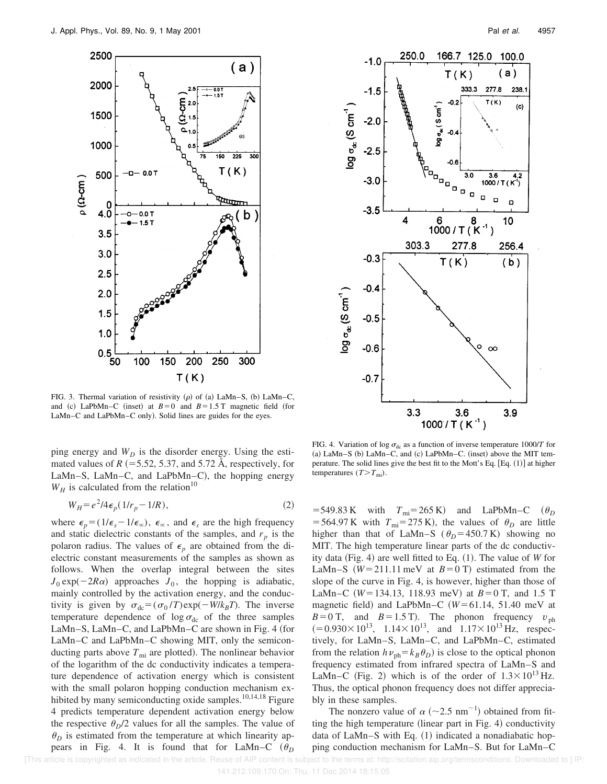

FIG. 3. Thermal variation of resistivity  $(\rho)$  of (a) LaMn–S, (b) LaMn–C, and (c) LaPbMn–C (inset) at  $B=0$  and  $B=1.5$  T magnetic field (for LaMn–C and LaPbMn–C only). Solid lines are guides for the eyes.

ping energy and  $W_D$  is the disorder energy. Using the estimated values of  $R$   $(=5.52, 5.37,$  and 5.72 Å, respectively, for LaMn–S, LaMn–C, and LaPbMn–C), the hopping energy  $W_H$  is calculated from the relation<sup>10</sup>

$$
W_H = e^2/4\epsilon_p (1/r_p - 1/R),\tag{2}
$$

where  $\epsilon_p = (1/\epsilon_s - 1/\epsilon_\infty)$ ,  $\epsilon_\infty$ , and  $\epsilon_s$  are the high frequency and static dielectric constants of the samples, and  $r_p$  is the polaron radius. The values of  $\epsilon_p$  are obtained from the dielectric constant measurements of the samples as shown as follows. When the overlap integral between the sites  $J_0 \exp(-2R\alpha)$  approaches  $J_0$ , the hopping is adiabatic, mainly controlled by the activation energy, and the conductivity is given by  $\sigma_{dc} = (\sigma_0/T) \exp(-W/k_B T)$ . The inverse temperature dependence of  $\log \sigma_{dc}$  of the three samples LaMn–S, LaMn–C, and LaPbMn–C are shown in Fig. 4 (for LaMn–C and LaPbMn–C showing MIT, only the semiconducting parts above  $T_{\text{mi}}$  are plotted). The nonlinear behavior of the logarithm of the dc conductivity indicates a temperature dependence of activation energy which is consistent with the small polaron hopping conduction mechanism exhibited by many semiconducting oxide samples.<sup>10,14,18</sup> Figure 4 predicts temperature dependent activation energy below the respective  $\theta_D/2$  values for all the samples. The value of  $\theta_D$  is estimated from the temperature at which linearity appears in Fig. 4. It is found that for LaMn–C  $(\theta_D)$ 



FIG. 4. Variation of log  $\sigma_{dc}$  as a function of inverse temperature 1000/*T* for  $(a)$  LaMn–S  $(b)$  LaMn–C, and  $(c)$  LaPbMn–C.  $(insert)$  above the MIT temperature. The solid lines give the best fit to the Mott's Eq.  $[Eq. (1)]$  at higher temperatures  $(T>T_{\text{mi}})$ .

 $=$  549.83 K with  $T_{\text{mi}}$ = 265 K) and LaPbMn–C  $(\theta_D)$ = 564.97 K with  $T_{\text{mi}}$ = 275 K), the values of  $\theta_D$  are little higher than that of LaMn–S ( $\theta_D$ =450.7 K) showing no MIT. The high temperature linear parts of the dc conductivity data (Fig. 4) are well fitted to Eq.  $(1)$ . The value of *W* for LaMn–S  $(W=211.11 \text{ meV}$  at  $B=0 \text{ T}$  estimated from the slope of the curve in Fig. 4, is however, higher than those of LaMn–C  $(W=134.13, 118.93 \text{ meV})$  at  $B=0$  T, and 1.5 T magnetic field) and LaPbMn–C  $(W=61.14, 51.40 \text{ meV}$  at  $B=0$  T, and  $B=1.5$  T). The phonon frequency  $v_{\text{ph}}$  $(=0.930\times10^{13}, 1.14\times10^{13}, \text{ and } 1.17\times10^{13} \text{ Hz}, \text{ respectively})$ tively, for LaMn–S, LaMn–C, and LaPbMn–C, estimated from the relation  $h\nu_{ph} = k_B \theta_D$  is close to the optical phonon frequency estimated from infrared spectra of LaMn–S and LaMn–C (Fig. 2) which is of the order of  $1.3 \times 10^{13}$  Hz. Thus, the optical phonon frequency does not differ appreciably in these samples.

The nonzero value of  $\alpha$  ( $\sim$ 2.5 nm<sup>-1</sup>) obtained from fitting the high temperature (linear part in Fig. 4) conductivity data of LaMn–S with Eq.  $(1)$  indicated a nonadiabatic hopping conduction mechanism for LaMn–S. But for LaMn–C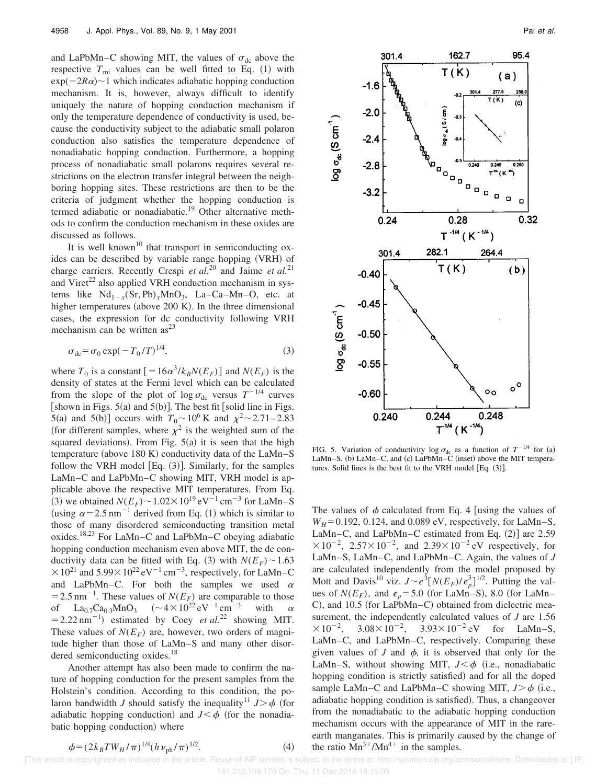and LaPbMn–C showing MIT, the values of  $\sigma_{dc}$  above the respective  $T_{\text{mi}}$  values can be well fitted to Eq. (1) with  $exp(-2R\alpha)$ <sup>-1</sup> which indicates adiabatic hopping conduction mechanism. It is, however, always difficult to identify uniquely the nature of hopping conduction mechanism if only the temperature dependence of conductivity is used, because the conductivity subject to the adiabatic small polaron conduction also satisfies the temperature dependence of nonadiabatic hopping conduction. Furthermore, a hopping process of nonadiabatic small polarons requires several restrictions on the electron transfer integral between the neighboring hopping sites. These restrictions are then to be the criteria of judgment whether the hopping conduction is termed adiabatic or nonadiabatic.<sup>19</sup> Other alternative methods to confirm the conduction mechanism in these oxides are discussed as follows.

It is well known<sup>10</sup> that transport in semiconducting oxides can be described by variable range hopping (VRH) of charge carriers. Recently Crespi *et al.*<sup>20</sup> and Jaime *et al.*<sup>21</sup> and Viret<sup>22</sup> also applied VRH conduction mechanism in systems like  $Nd_{1-x}(Sr, Pb)_xMnO_3$ , La–Ca–Mn–O, etc. at higher temperatures (above  $200$  K). In the three dimensional cases, the expression for dc conductivity following VRH mechanism can be written  $as^{23}$ 

$$
\sigma_{\rm dc} = \sigma_0 \exp(-T_0/T)^{1/4},\tag{3}
$$

where  $T_0$  is a constant  $\left[ = 16\alpha^3 / k_B N(E_F) \right]$  and  $N(E_F)$  is the density of states at the Fermi level which can be calculated from the slope of the plot of  $\log \sigma_{\text{dc}}$  versus  $T^{-1/4}$  curves [shown in Figs.  $5(a)$  and  $5(b)$ ]. The best fit [solid line in Figs. 5(a) and 5(b)] occurs with  $T_0 \sim 10^6$  K and  $\chi^2 \sim 2.71 - 2.83$ (for different samples, where  $\chi^2$  is the weighted sum of the squared deviations). From Fig.  $5(a)$  it is seen that the high temperature (above 180 K) conductivity data of the LaMn–S follow the VRH model  $[Eq. (3)]$ . Similarly, for the samples LaMn–C and LaPbMn–C showing MIT, VRH model is applicable above the respective MIT temperatures. From Eq. (3) we obtained  $N(E_F) \sim 1.02 \times 10^{19} \text{ eV}^{-1} \text{ cm}^{-3}$  for LaMn–S (using  $\alpha$  = 2.5 nm<sup>-1</sup> derived from Eq. (1) which is similar to those of many disordered semiconducting transition metal oxides.18,23 For LaMn–C and LaPbMn–C obeying adiabatic hopping conduction mechanism even above MIT, the dc conductivity data can be fitted with Eq. (3) with  $N(E_F) \sim 1.63$  $\times 10^{21}$  and 5.99 $\times 10^{22}$  eV<sup>-1</sup> cm<sup>-3</sup>, respectively, for LaMn–C and LaPbMn–C. For both the samples we used  $\alpha$ = 2.5 nm<sup>-1</sup>. These values of  $N(E_F)$  are comparable to those of La<sub>0.7</sub>Ca<sub>0.3</sub>MnO<sub>3</sub>  $({\sim}4 \times 10^{22} \text{ eV}^{-1} \text{ cm}^{-3}$  with  $\alpha$  $= 2.22 \text{ nm}^{-1}$  estimated by Coey *et al.*<sup>22</sup> showing MIT. These values of  $N(E_F)$  are, however, two orders of magnitude higher than those of LaMn–S and many other disordered semiconducting oxides.<sup>18</sup>

Another attempt has also been made to confirm the nature of hopping conduction for the present samples from the Holstein's condition. According to this condition, the polaron bandwidth *J* should satisfy the inequality<sup>11</sup>  $J > \phi$  (for adiabatic hopping conduction) and  $J < \phi$  (for the nonadiabatic hopping conduction) where



FIG. 5. Variation of conductivity log  $\sigma_{dc}$  as a function of  $T^{-1/4}$  for (a) LaMn–S, (b) LaMn–C, and (c) LaPbMn–C (inset) above the MIT temperatures. Solid lines is the best fit to the VRH model  $[Eq. (3)].$ 

The values of  $\phi$  calculated from Eq. 4 [using the values of  $W_H$ = 0.192, 0.124, and 0.089 eV, respectively, for LaMn–S, LaMn–C, and LaPbMn–C estimated from Eq.  $(2)$ ] are 2.59  $\times 10^{-2}$ ,  $2.57\times 10^{-2}$ , and  $2.39\times 10^{-2}$  eV respectively, for LaMn–S, LaMn–C, and LaPbMn–C. Again, the values of *J* are calculated independently from the model proposed by Mott and Davis<sup>10</sup> viz.  $J \sim e^{3} [N(E_F)/\epsilon_p^3]^{1/2}$ . Putting the values of  $N(E_F)$ , and  $\epsilon_p = 5.0$  (for LaMn–S), 8.0 (for LaMn– C), and  $10.5$  (for LaPbMn–C) obtained from dielectric measurement, the independently calculated values of *J* are 1.56  $\times 10^{-2}$ ,  $3.08 \times 10^{-2}$ ,  $3.93 \times 10^{-2}$  eV for LaMn-S, LaMn–C, and LaPbMn–C, respectively. Comparing these given values of *J* and  $\phi$ , it is observed that only for the LaMn–S, without showing MIT,  $J < \phi$  (i.e., nonadiabatic hopping condition is strictly satisfied) and for all the doped sample LaMn–C and LaPbMn–C showing MIT,  $J > \phi$  (i.e., adiabatic hopping condition is satisfied. Thus, a changeover from the nonadiabatic to the adiabatic hopping conduction mechanism occurs with the appearance of MIT in the rareearth manganates. This is primarily caused by the change of the ratio  $Mn^{3+}/Mn^{4+}$  in the samples.

$$
\phi = (2k_B T W_H / \pi)^{1/4} (h \nu_{\rm ph} / \pi)^{1/2}
$$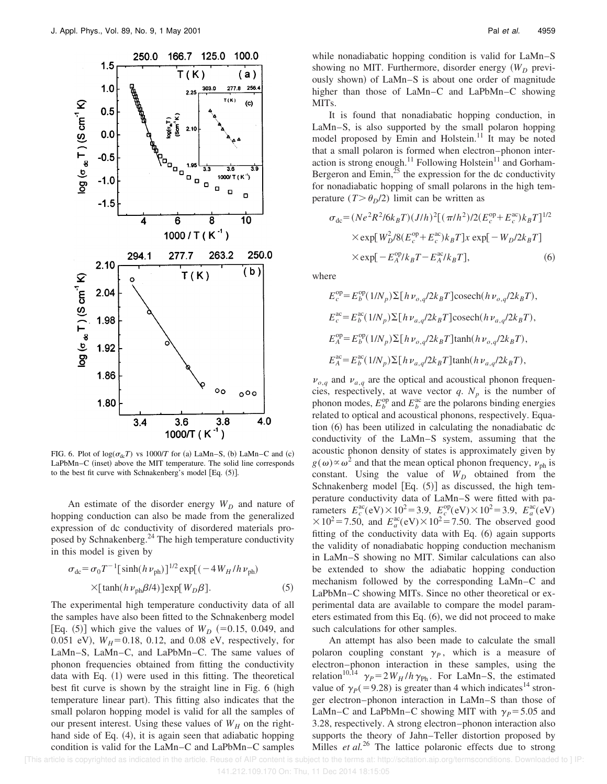

FIG. 6. Plot of  $log(\sigma_{dc}T)$  vs 1000/*T* for (a) LaMn–S, (b) LaMn–C and (c) LaPbMn–C (inset) above the MIT temperature. The solid line corresponds to the best fit curve with Schnakenberg's model [Eq.  $(5)$ ].

An estimate of the disorder energy  $W_D$  and nature of hopping conduction can also be made from the generalized expression of dc conductivity of disordered materials proposed by Schnakenberg.<sup>24</sup> The high temperature conductivity in this model is given by

$$
\sigma_{\rm dc} = \sigma_0 T^{-1} [\sinh(h \nu_{\rm ph})]^{1/2} \exp[(-4 W_H / h \nu_{\rm ph})
$$
  
×[ $\tanh(h \nu_{\rm ph} \beta/4)$ ]exp[ $W_D \beta$ ]. (5)

The experimental high temperature conductivity data of all the samples have also been fitted to the Schnakenberg model [Eq.  $(5)$ ] which give the values of  $W_D$  (=0.15, 0.049, and 0.051 eV),  $W_H = 0.18$ , 0.12, and 0.08 eV, respectively, for LaMn–S, LaMn–C, and LaPbMn–C. The same values of phonon frequencies obtained from fitting the conductivity data with Eq.  $(1)$  were used in this fitting. The theoretical best fit curve is shown by the straight line in Fig. 6 (high temperature linear part). This fitting also indicates that the small polaron hopping model is valid for all the samples of our present interest. Using these values of  $W_H$  on the righthand side of Eq.  $(4)$ , it is again seen that adiabatic hopping condition is valid for the LaMn–C and LaPbMn–C samples while nonadiabatic hopping condition is valid for LaMn–S showing no MIT. Furthermore, disorder energy  $(W_D)$  previously shown) of LaMn–S is about one order of magnitude higher than those of LaMn–C and LaPbMn–C showing MITs.

It is found that nonadiabatic hopping conduction, in LaMn–S, is also supported by the small polaron hopping model proposed by Emin and Holstein.<sup>11</sup> It may be noted that a small polaron is formed when electron–phonon interaction is strong enough.<sup>11</sup> Following Holstein<sup>11</sup> and Gorham-Bergeron and  $\text{Emin}^{25}$  the expression for the dc conductivity for nonadiabatic hopping of small polarons in the high temperature  $(T > \theta_p/2)$  limit can be written as

$$
\sigma_{\rm dc} = (Ne^2 R^2 / 6k_B T) (J/h)^2 [(\pi/h^2) / 2(E_c^{\rm op} + E_c^{\rm ac}) k_B T]^{1/2}
$$
  
× exp[ $W_D^2 / 8(E_c^{\rm op} + E_c^{\rm ac}) k_B T$ ]x exp[ $-W_D / 2k_B T$ ]  
× exp[ $-E_A^{\rm op} / k_B T - E_A^{\rm ac} / k_B T$ ], (6)

where

$$
E_c^{\rm op} = E_b^{\rm op}(1/N_p) \Sigma [h\nu_{o,q}/2k_B T] \cosech(h\nu_{o,q}/2k_B T),
$$
  
\n
$$
E_c^{\rm ac} = E_b^{\rm ac}(1/N_p) \Sigma [h\nu_{a,q}/2k_B T] \cosech(h\nu_{a,q}/2k_B T),
$$
  
\n
$$
E_A^{\rm op} = E_b^{\rm op}(1/N_p) \Sigma [h\nu_{o,q}/2k_B T] \tanh(h\nu_{o,q}/2k_B T),
$$
  
\n
$$
E_A^{\rm ac} = E_b^{\rm ac}(1/N_p) \Sigma [h\nu_{a,q}/2k_B T] \tanh(h\nu_{a,q}/2k_B T),
$$

 $\nu_{o,q}$  and  $\nu_{a,q}$  are the optical and acoustical phonon frequencies, respectively, at wave vector  $q$ .  $N_p$  is the number of phonon modes,  $E_b^{\text{op}}$  and  $E_b^{\text{ac}}$  are the polarons binding energies related to optical and acoustical phonons, respectively. Equation  $(6)$  has been utilized in calculating the nonadiabatic dc conductivity of the LaMn–S system, assuming that the acoustic phonon density of states is approximately given by  $g(\omega) \propto \omega^2$  and that the mean optical phonon frequency,  $v_{\rm ph}$  is constant. Using the value of  $W_D$  obtained from the Schnakenberg model  $[Eq. (5)]$  as discussed, the high temperature conductivity data of LaMn–S were fitted with parameters  $E_c^{\text{ac}}(eV) \times 10^2 = 3.9$ ,  $E_c^{\text{op}}(eV) \times 10^2 = 3.9$ ,  $E_a^{\text{ac}}(eV)$  $\times 10^2 = 7.50$ , and  $E_a^{\text{ac}}(eV) \times 10^2 = 7.50$ . The observed good fitting of the conductivity data with Eq.  $(6)$  again supports the validity of nonadiabatic hopping conduction mechanism in LaMn–S showing no MIT. Similar calculations can also be extended to show the adiabatic hopping conduction mechanism followed by the corresponding LaMn–C and LaPbMn–C showing MITs. Since no other theoretical or experimental data are available to compare the model parameters estimated from this Eq.  $(6)$ , we did not proceed to make such calculations for other samples.

An attempt has also been made to calculate the small polaron coupling constant  $\gamma_p$ , which is a measure of electron–phonon interaction in these samples, using the relation<sup>10,14</sup>  $\gamma_P = 2W_H/h \gamma_{\text{Ph}}$ . For LaMn–S, the estimated value of  $\gamma_p(=9.28)$  is greater than 4 which indicates<sup>14</sup> stronger electron–phonon interaction in LaMn–S than those of LaMn–C and LaPbMn–C showing MIT with  $\gamma_P = 5.05$  and 3.28, respectively. A strong electron–phonon interaction also supports the theory of Jahn–Teller distortion proposed by Milles *et al.*<sup>26</sup> The lattice polaronic effects due to strong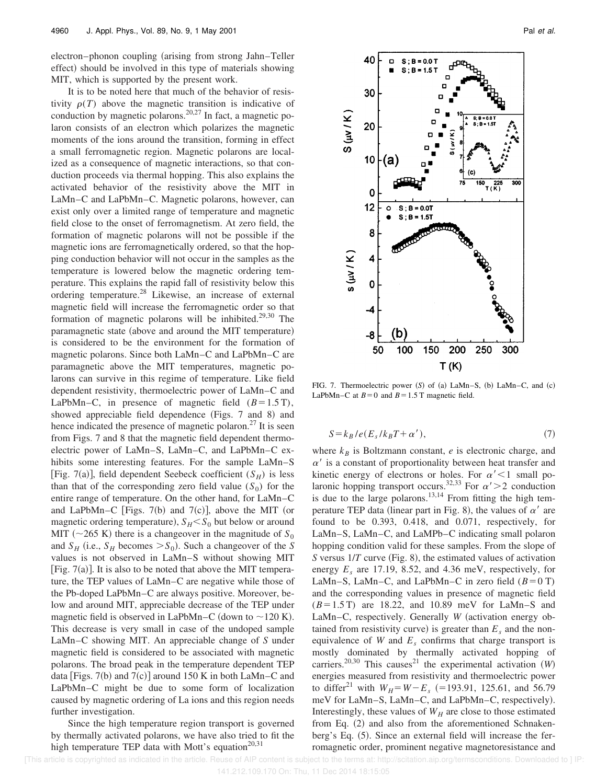electron–phonon coupling (arising from strong Jahn–Teller effect) should be involved in this type of materials showing MIT, which is supported by the present work.

It is to be noted here that much of the behavior of resistivity  $\rho(T)$  above the magnetic transition is indicative of conduction by magnetic polarons.<sup>20,27</sup> In fact, a magnetic polaron consists of an electron which polarizes the magnetic moments of the ions around the transition, forming in effect a small ferromagnetic region. Magnetic polarons are localized as a consequence of magnetic interactions, so that conduction proceeds via thermal hopping. This also explains the activated behavior of the resistivity above the MIT in LaMn–C and LaPbMn–C. Magnetic polarons, however, can exist only over a limited range of temperature and magnetic field close to the onset of ferromagnetism. At zero field, the formation of magnetic polarons will not be possible if the magnetic ions are ferromagnetically ordered, so that the hopping conduction behavior will not occur in the samples as the temperature is lowered below the magnetic ordering temperature. This explains the rapid fall of resistivity below this ordering temperature.<sup>28</sup> Likewise, an increase of external magnetic field will increase the ferromagnetic order so that formation of magnetic polarons will be inhibited.<sup>29,30</sup> The paramagnetic state (above and around the MIT temperature) is considered to be the environment for the formation of magnetic polarons. Since both LaMn–C and LaPbMn–C are paramagnetic above the MIT temperatures, magnetic polarons can survive in this regime of temperature. Like field dependent resistivity, thermoelectric power of LaMn–C and LaPbMn–C, in presence of magnetic field  $(B=1.5 \text{ T})$ , showed appreciable field dependence (Figs.  $7$  and 8) and hence indicated the presence of magnetic polaron.<sup>27</sup> It is seen from Figs. 7 and 8 that the magnetic field dependent thermoelectric power of LaMn–S, LaMn–C, and LaPbMn–C exhibits some interesting features. For the sample LaMn–S [Fig. 7(a)], field dependent Seebeck coefficient  $(S_H)$  is less than that of the corresponding zero field value  $(S_0)$  for the entire range of temperature. On the other hand, for LaMn–C and LaPbMn–C [Figs. 7(b) and 7(c)], above the MIT (or magnetic ordering temperature),  $S_H < S_0$  but below or around MIT ( $\sim$ 265 K) there is a changeover in the magnitude of  $S_0$ and  $S_H$  (i.e.,  $S_H$  becomes  $>S_0$ ). Such a changeover of the *S* values is not observed in LaMn–S without showing MIT [Fig.  $7(a)$ ]. It is also to be noted that above the MIT temperature, the TEP values of LaMn–C are negative while those of the Pb-doped LaPbMn–C are always positive. Moreover, below and around MIT, appreciable decrease of the TEP under magnetic field is observed in LaPbMn–C (down to  $\sim$ 120 K). This decrease is very small in case of the undoped sample LaMn–C showing MIT. An appreciable change of *S* under magnetic field is considered to be associated with magnetic polarons. The broad peak in the temperature dependent TEP data [Figs. 7(b) and 7(c)] around 150 K in both LaMn–C and LaPbMn–C might be due to some form of localization caused by magnetic ordering of La ions and this region needs further investigation.

Since the high temperature region transport is governed by thermally activated polarons, we have also tried to fit the high temperature TEP data with Mott's equation<sup>20,31</sup>



FIG. 7. Thermoelectric power (S) of (a) LaMn–S, (b) LaMn–C, and (c) LaPbMn–C at  $B=0$  and  $B=1.5$  T magnetic field.

$$
S = k_B / e(E_s / k_B T + \alpha'), \tag{7}
$$

where  $k_B$  is Boltzmann constant,  $e$  is electronic charge, and  $\alpha'$  is a constant of proportionality between heat transfer and kinetic energy of electrons or holes. For  $\alpha' < 1$  small polaronic hopping transport occurs.<sup>32,33</sup> For  $\alpha$ <sup>'</sup> > 2 conduction is due to the large polarons.<sup>13,14</sup> From fitting the high temperature TEP data (linear part in Fig. 8), the values of  $\alpha'$  are found to be 0.393, 0.418, and 0.071, respectively, for LaMn–S, LaMn–C, and LaMPb–C indicating small polaron hopping condition valid for these samples. From the slope of *S* versus  $1/T$  curve (Fig. 8), the estimated values of activation energy  $E_s$  are 17.19, 8.52, and 4.36 meV, respectively, for LaMn–S, LaMn–C, and LaPbMn–C in zero field  $(B=0 T)$ and the corresponding values in presence of magnetic field  $(B=1.5 \text{ T})$  are 18.22, and 10.89 meV for LaMn–S and LaMn–C, respectively. Generally *W* (activation energy obtained from resistivity curve) is greater than  $E_s$  and the nonequivalence of *W* and  $E<sub>s</sub>$  confirms that charge transport is mostly dominated by thermally activated hopping of carriers.<sup>20,30</sup> This causes<sup>21</sup> the experimental activation  $(W)$ energies measured from resistivity and thermoelectric power to differ<sup>21</sup> with  $W_H = W - E_s$  (=193.91, 125.61, and 56.79 meV for LaMn-S, LaMn-C, and LaPbMn-C, respectively). Interestingly, these values of  $W_H$  are close to those estimated from Eq.  $(2)$  and also from the aforementioned Schnakenberg's Eq.  $(5)$ . Since an external field will increase the ferromagnetic order, prominent negative magnetoresistance and